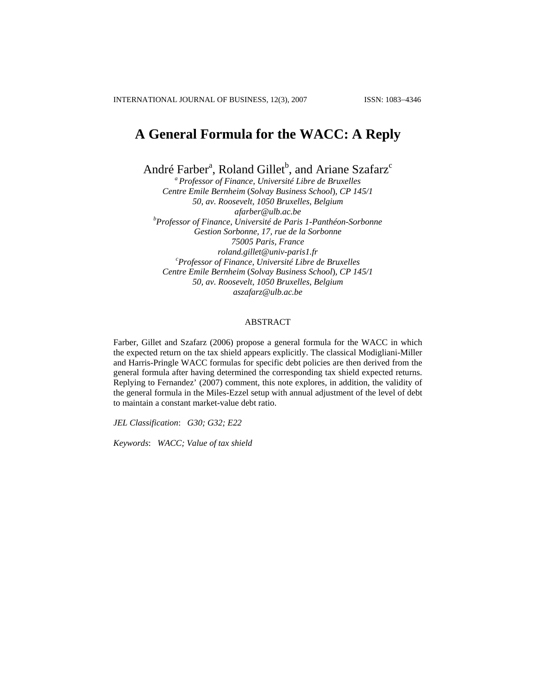# **A General Formula for the WACC: A Reply**

André Farber<sup>a</sup>, Roland Gillet<sup>b</sup>, and Ariane Szafarz<sup>c</sup>

*a Professor of Finance, Université Libre de Bruxelles Centre Emile Bernheim* (*Solvay Business School*)*, CP 145/1 50, av. Roosevelt, 1050 Bruxelles, Belgium [afarber@ulb.ac.be](mailto:afarber@ulb.ac.be) <sup>b</sup> Professor of Finance, Université de Paris 1-Panthéon-Sorbonne Gestion Sorbonne, 17, rue de la Sorbonne 75005 Paris, France [roland.gillet@univ-paris1.fr](mailto:roland.gillet@univ-paris1.fr) <sup>c</sup> Professor of Finance, Université Libre de Bruxelles Centre Emile Bernheim* (*Solvay Business School*)*, CP 145/1 50, av. Roosevelt, 1050 Bruxelles, Belgium [aszafarz@ulb.ac.be](mailto:aszafarz@ulb.ac.be)*

### ABSTRACT

Farber, Gillet and Szafarz (2006) propose a general formula for the WACC in which the expected return on the tax shield appears explicitly. The classical Modigliani-Miller and Harris-Pringle WACC formulas for specific debt policies are then derived from the general formula after having determined the corresponding tax shield expected returns. Replying to Fernandez' (2007) comment, this note explores, in addition, the validity of the general formula in the Miles-Ezzel setup with annual adjustment of the level of debt to maintain a constant market-value debt ratio.

*JEL Classification*: *G30; G32; E22* 

*Keywords*: *WACC; Value of tax shield*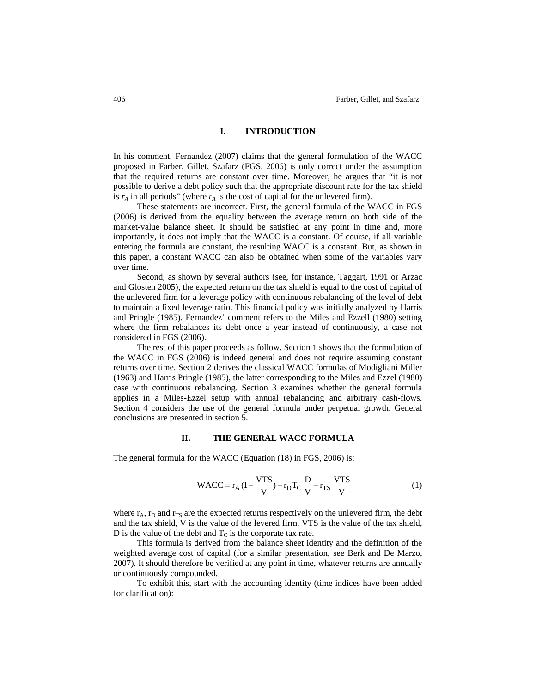#### **I. INTRODUCTION**

In his comment, Fernandez (2007) claims that the general formulation of the WACC proposed in Farber, Gillet, Szafarz (FGS, 2006) is only correct under the assumption that the required returns are constant over time. Moreover, he argues that "it is not possible to derive a debt policy such that the appropriate discount rate for the tax shield is  $r_A$  in all periods" (where  $r_A$  is the cost of capital for the unlevered firm).

These statements are incorrect. First, the general formula of the WACC in FGS (2006) is derived from the equality between the average return on both side of the market-value balance sheet. It should be satisfied at any point in time and, more importantly, it does not imply that the WACC is a constant. Of course, if all variable entering the formula are constant, the resulting WACC is a constant. But, as shown in this paper, a constant WACC can also be obtained when some of the variables vary over time.

Second, as shown by several authors (see, for instance, Taggart, 1991 or Arzac and Glosten 2005), the expected return on the tax shield is equal to the cost of capital of the unlevered firm for a leverage policy with continuous rebalancing of the level of debt to maintain a fixed leverage ratio. This financial policy was initially analyzed by Harris and Pringle (1985). Fernandez' comment refers to the Miles and Ezzell (1980) setting where the firm rebalances its debt once a year instead of continuously, a case not considered in FGS (2006).

The rest of this paper proceeds as follow. Section 1 shows that the formulation of the WACC in FGS (2006) is indeed general and does not require assuming constant returns over time. Section 2 derives the classical WACC formulas of Modigliani Miller (1963) and Harris Pringle (1985), the latter corresponding to the Miles and Ezzel (1980) case with continuous rebalancing. Section 3 examines whether the general formula applies in a Miles-Ezzel setup with annual rebalancing and arbitrary cash-flows. Section 4 considers the use of the general formula under perpetual growth. General conclusions are presented in section 5.

#### **II. THE GENERAL WACC FORMULA**

The general formula for the WACC (Equation (18) in FGS, 2006) is:

$$
WACC = r_A (1 - \frac{VTS}{V}) - r_D T_C \frac{D}{V} + r_{TS} \frac{VTS}{V}
$$
 (1)

where  $r_A$ ,  $r_D$  and  $r_{TS}$  are the expected returns respectively on the unlevered firm, the debt and the tax shield, V is the value of the levered firm, VTS is the value of the tax shield, D is the value of the debt and  $T<sub>C</sub>$  is the corporate tax rate.

This formula is derived from the balance sheet identity and the definition of the weighted average cost of capital (for a similar presentation, see Berk and De Marzo, 2007). It should therefore be verified at any point in time, whatever returns are annually or continuously compounded.

To exhibit this, start with the accounting identity (time indices have been added for clarification):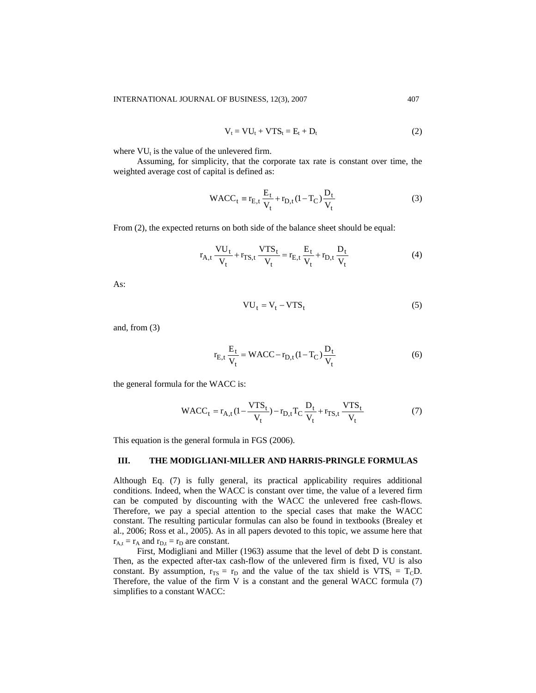$$
V_t = VU_t + VTS_t = E_t + D_t \tag{2}
$$

where  $VU_t$  is the value of the unlevered firm.

Assuming, for simplicity, that the corporate tax rate is constant over time, the weighted average cost of capital is defined as:

$$
WACC_t \equiv r_{E,t} \frac{E_t}{V_t} + r_{D,t} (1 - T_C) \frac{D_t}{V_t}
$$
 (3)

From (2), the expected returns on both side of the balance sheet should be equal:

$$
r_{A,t} \frac{VU_t}{V_t} + r_{TS,t} \frac{VTS_t}{V_t} = r_{E,t} \frac{E_t}{V_t} + r_{D,t} \frac{D_t}{V_t}
$$
(4)

As:

$$
VU_t = V_t - VTS_t \tag{5}
$$

and, from (3)

$$
r_{\rm E,t} \frac{\rm E_{t}}{\rm V_{t}} = \text{WACC} - r_{\rm D,t} (1 - T_{\rm C}) \frac{\rm D_{t}}{\rm V_{t}}
$$
(6)

the general formula for the WACC is:

$$
\text{WACC}_{t} = r_{A,t} \left(1 - \frac{\text{VTS}_{t}}{V_{t}}\right) - r_{D,t} T_{C} \frac{D_{t}}{V_{t}} + r_{TS,t} \frac{\text{VTS}_{t}}{V_{t}} \tag{7}
$$

This equation is the general formula in FGS (2006).

#### **III. THE MODIGLIANI-MILLER AND HARRIS-PRINGLE FORMULAS**

Although Eq. (7) is fully general, its practical applicability requires additional conditions. Indeed, when the WACC is constant over time, the value of a levered firm can be computed by discounting with the WACC the unlevered free cash-flows. Therefore, we pay a special attention to the special cases that make the WACC constant. The resulting particular formulas can also be found in textbooks (Brealey et al., 2006; Ross et al., 2005). As in all papers devoted to this topic, we assume here that  $r_{A,t} = r_A$  and  $r_{D,t} = r_D$  are constant.

First, Modigliani and Miller (1963) assume that the level of debt D is constant. Then, as the expected after-tax cash-flow of the unlevered firm is fixed, VU is also constant. By assumption,  $r_{TS} = r_D$  and the value of the tax shield is  $VTS_t = T_C D$ . Therefore, the value of the firm  $V$  is a constant and the general WACC formula  $(7)$ simplifies to a constant WACC: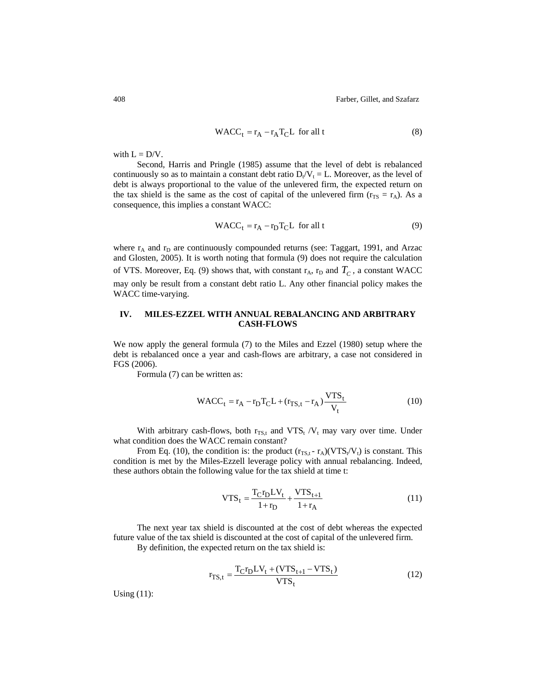408 Farber, Gillet, and Szafarz

$$
WACC_t = r_A - r_A T_C L \text{ for all } t
$$
 (8)

with  $L = D/V$ .

Second, Harris and Pringle (1985) assume that the level of debt is rebalanced continuously so as to maintain a constant debt ratio  $D_t/V_t = L$ . Moreover, as the level of debt is always proportional to the value of the unlevered firm, the expected return on the tax shield is the same as the cost of capital of the unlevered firm ( $r_{TS} = r_A$ ). As a consequence, this implies a constant WACC:

$$
WACC_t = r_A - r_D T_C L \text{ for all } t
$$
 (9)

where  $r_A$  and  $r_D$  are continuously compounded returns (see: Taggart, 1991, and Arzac and Glosten, 2005). It is worth noting that formula (9) does not require the calculation of VTS. Moreover, Eq. (9) shows that, with constant  $r_A$ ,  $r_D$  and  $T_C$ , a constant WACC may only be result from a constant debt ratio L. Any other financial policy makes the WACC time-varying.

## **IV. MILES-EZZEL WITH ANNUAL REBALANCING AND ARBITRARY CASH-FLOWS**

We now apply the general formula (7) to the Miles and Ezzel (1980) setup where the debt is rebalanced once a year and cash-flows are arbitrary, a case not considered in FGS (2006).

Formula (7) can be written as:

$$
WACC_t = r_A - r_D T_C L + (r_{TS,t} - r_A) \frac{VTS_t}{V_t}
$$
\n
$$
(10)
$$

With arbitrary cash-flows, both  $r_{TS,t}$  and  $VTS_t/V_t$  may vary over time. Under what condition does the WACC remain constant?

From Eq. (10), the condition is: the product  $(r_{TS,t} - r_A)(VTS_t/V_t)$  is constant. This condition is met by the Miles-Ezzell leverage policy with annual rebalancing. Indeed, these authors obtain the following value for the tax shield at time t:

$$
VTS_{t} = \frac{T_{C}r_{D}LV_{t}}{1+r_{D}} + \frac{VTS_{t+1}}{1+r_{A}}
$$
(11)

The next year tax shield is discounted at the cost of debt whereas the expected future value of the tax shield is discounted at the cost of capital of the unlevered firm.

By definition, the expected return on the tax shield is:

$$
r_{TS,t} = \frac{T_C r_D LV_t + (VTS_{t+1} - VTS_t)}{VTS_t}
$$
\n(12)

Using (11):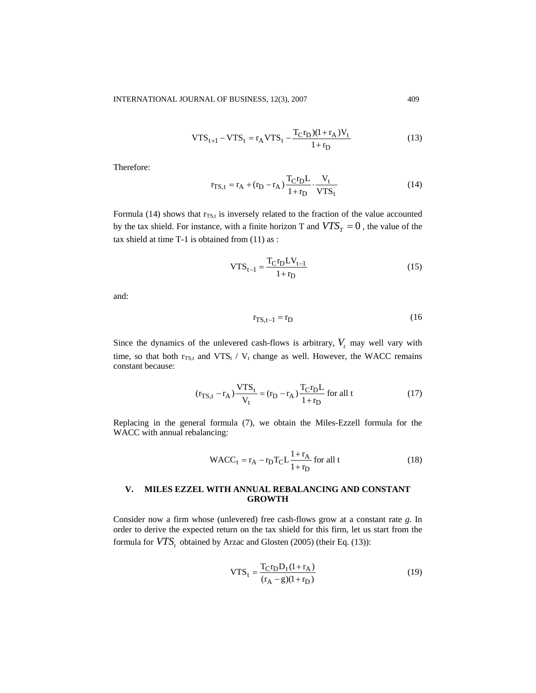$$
VTS_{t+1} - VTS_t = r_A VTS_t - \frac{T_Cr_D)(1 + r_A)V_t}{1 + r_D}
$$
\n(13)

Therefore:

$$
\mathbf{r}_{\text{TS},t} = \mathbf{r}_{\text{A}} + (\mathbf{r}_{\text{D}} - \mathbf{r}_{\text{A}}) \frac{\mathbf{T}_{\text{C}} \mathbf{r}_{\text{D}} \mathbf{L}}{1 + \mathbf{r}_{\text{D}}} \cdot \frac{\mathbf{V}_{t}}{\mathbf{V} \mathbf{T} \mathbf{S}_{t}} \tag{14}
$$

Formula (14) shows that  $r_{TS,t}$  is inversely related to the fraction of the value accounted by the tax shield. For instance, with a finite horizon T and  $VTS<sub>T</sub> = 0$ , the value of the tax shield at time T-1 is obtained from (11) as :

$$
VTS_{t-1} = \frac{T_{C}r_{D}LV_{t-1}}{1+r_{D}}
$$
 (15)

and:

$$
\mathbf{r}_{\text{TS},t-1} = \mathbf{r}_{\text{D}} \tag{16}
$$

Since the dynamics of the unlevered cash-flows is arbitrary,  $V_t$  may well vary with time, so that both  $r_{TS,t}$  and VTS<sub>t</sub> /  $V_t$  change as well. However, the WACC remains constant because:

$$
(\mathbf{r}_{\text{TS},t} - \mathbf{r}_{\text{A}}) \frac{\text{VTS}_{t}}{\mathbf{V}_{t}} = (\mathbf{r}_{\text{D}} - \mathbf{r}_{\text{A}}) \frac{\mathbf{T}_{\text{C}} \mathbf{r}_{\text{D}} \mathbf{L}}{1 + \mathbf{r}_{\text{D}}} \text{ for all } t
$$
 (17)

Replacing in the general formula (7), we obtain the Miles-Ezzell formula for the WACC with annual rebalancing:

$$
WACC_t = r_A - r_D T_C L \frac{1 + r_A}{1 + r_D} \text{ for all } t
$$
 (18)

## **V. MILES EZZEL WITH ANNUAL REBALANCING AND CONSTANT GROWTH**

Consider now a firm whose (unlevered) free cash-flows grow at a constant rate *g*. In order to derive the expected return on the tax shield for this firm, let us start from the formula for  $VTS_t$  obtained by Arzac and Glosten (2005) (their Eq. (13)):

VTS<sub>t</sub> = 
$$
\frac{T_{C}r_{D}D_{t}(1+r_{A})}{(r_{A}-g)(1+r_{D})}
$$
(19)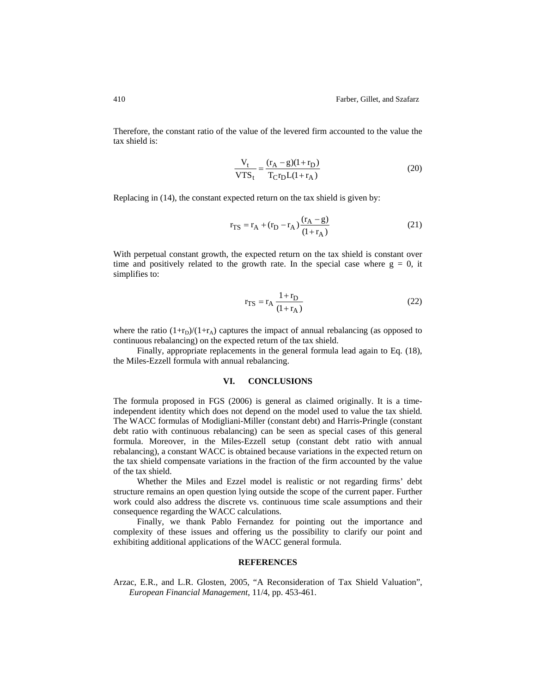Therefore, the constant ratio of the value of the levered firm accounted to the value the tax shield is:

$$
\frac{V_t}{VTS_t} = \frac{(r_A - g)(1 + r_D)}{T_C r_D L (1 + r_A)}
$$
(20)

Replacing in (14), the constant expected return on the tax shield is given by:

$$
r_{TS} = r_A + (r_D - r_A) \frac{(r_A - g)}{(1 + r_A)}
$$
(21)

With perpetual constant growth, the expected return on the tax shield is constant over time and positively related to the growth rate. In the special case where  $g = 0$ , it simplifies to:

$$
r_{TS} = r_A \frac{1 + r_D}{(1 + r_A)}\tag{22}
$$

where the ratio  $(1+r_D)/(1+r_A)$  captures the impact of annual rebalancing (as opposed to continuous rebalancing) on the expected return of the tax shield.

Finally, appropriate replacements in the general formula lead again to Eq. (18), the Miles-Ezzell formula with annual rebalancing.

#### **VI. CONCLUSIONS**

The formula proposed in FGS (2006) is general as claimed originally. It is a timeindependent identity which does not depend on the model used to value the tax shield. The WACC formulas of Modigliani-Miller (constant debt) and Harris-Pringle (constant debt ratio with continuous rebalancing) can be seen as special cases of this general formula. Moreover, in the Miles-Ezzell setup (constant debt ratio with annual rebalancing), a constant WACC is obtained because variations in the expected return on the tax shield compensate variations in the fraction of the firm accounted by the value of the tax shield.

Whether the Miles and Ezzel model is realistic or not regarding firms' debt structure remains an open question lying outside the scope of the current paper. Further work could also address the discrete vs. continuous time scale assumptions and their consequence regarding the WACC calculations.

Finally, we thank Pablo Fernandez for pointing out the importance and complexity of these issues and offering us the possibility to clarify our point and exhibiting additional applications of the WACC general formula.

## **REFERENCES**

Arzac, E.R., and L.R. Glosten, 2005, "A Reconsideration of Tax Shield Valuation", *European Financial Management*, 11/4, pp. 453-461.